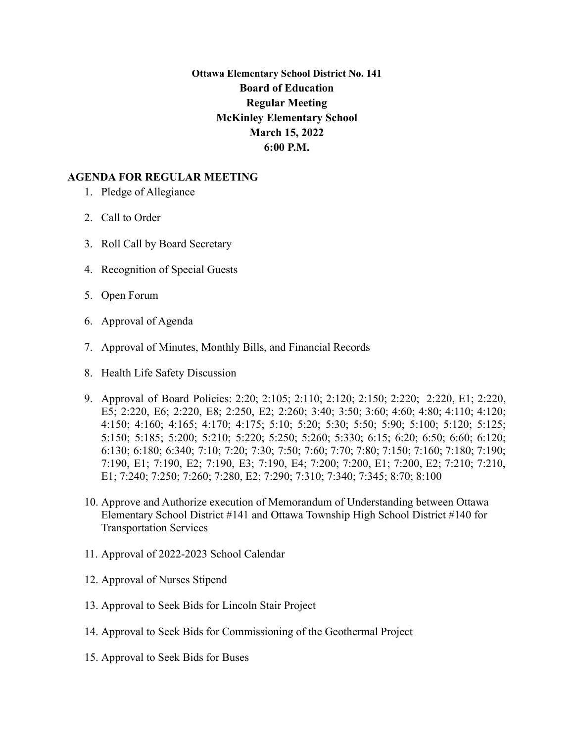**Ottawa Elementary School District No. 141 Board of Education Regular Meeting McKinley Elementary School March 15, 2022 6:00 P.M.**

## **AGENDA FOR REGULAR MEETING**

- 1. Pledge of Allegiance
- 2. Call to Order
- 3. Roll Call by Board Secretary
- 4. Recognition of Special Guests
- 5. Open Forum
- 6. Approval of Agenda
- 7. Approval of Minutes, Monthly Bills, and Financial Records
- 8. Health Life Safety Discussion
- 9. Approval of Board Policies: 2:20; 2:105; 2:110; 2:120; 2:150; 2:220; 2:220, E1; 2:220, E5; 2:220, E6; 2:220, E8; 2:250, E2; 2:260; 3:40; 3:50; 3:60; 4:60; 4:80; 4:110; 4:120; 4:150; 4:160; 4:165; 4:170; 4:175; 5:10; 5:20; 5:30; 5:50; 5:90; 5:100; 5:120; 5:125; 5:150; 5:185; 5:200; 5:210; 5:220; 5:250; 5:260; 5:330; 6:15; 6:20; 6:50; 6:60; 6:120; 6:130; 6:180; 6:340; 7:10; 7:20; 7:30; 7:50; 7:60; 7:70; 7:80; 7:150; 7:160; 7:180; 7:190; 7:190, E1; 7:190, E2; 7:190, E3; 7:190, E4; 7:200; 7:200, E1; 7:200, E2; 7:210; 7:210, E1; 7:240; 7:250; 7:260; 7:280, E2; 7:290; 7:310; 7:340; 7:345; 8:70; 8:100
- 10. Approve and Authorize execution of Memorandum of Understanding between Ottawa Elementary School District #141 and Ottawa Township High School District #140 for Transportation Services
- 11. Approval of 2022-2023 School Calendar
- 12. Approval of Nurses Stipend
- 13. Approval to Seek Bids for Lincoln Stair Project
- 14. Approval to Seek Bids for Commissioning of the Geothermal Project
- 15. Approval to Seek Bids for Buses